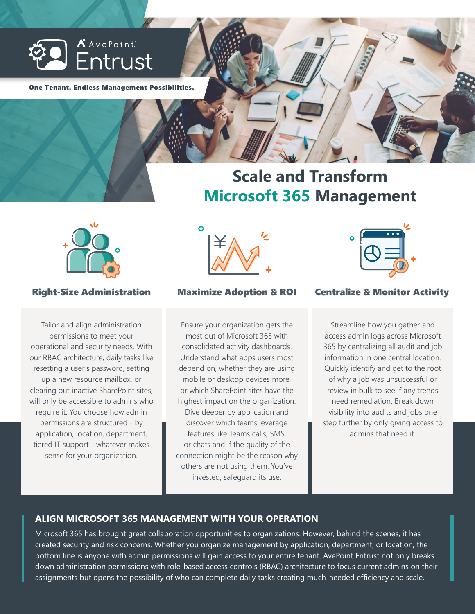

One Tenant. Endless Management Possibilities.

# **Scale and Transform Microsoft 365 Management**



Tailor and align administration permissions to meet your operational and security needs. With our RBAC architecture, daily tasks like resetting a user's password, setting up a new resource mailbox, or clearing out inactive SharePoint sites, will only be accessible to admins who require it. You choose how admin permissions are structured - by application, location, department, tiered IT support - whatever makes sense for your organization.



Ensure your organization gets the most out of Microsoft 365 with consolidated activity dashboards. Understand what apps users most depend on, whether they are using mobile or desktop devices more, or which SharePoint sites have the highest impact on the organization. Dive deeper by application and discover which teams leverage features like Teams calls, SMS, or chats and if the quality of the connection might be the reason why others are not using them. You've invested, safeguard its use.



# Right-Size Administration Maximize Adoption & ROI Centralize & Monitor Activity

Streamline how you gather and access admin logs across Microsoft 365 by centralizing all audit and job information in one central location. Quickly identify and get to the root of why a job was unsuccessful or review in bulk to see if any trends need remediation. Break down visibility into audits and jobs one step further by only giving access to admins that need it.

## **ALIGN MICROSOFT 365 MANAGEMENT WITH YOUR OPERATION**

Microsoft 365 has brought great collaboration opportunities to organizations. However, behind the scenes, it has created security and risk concerns. Whether you organize management by application, department, or location, the bottom line is anyone with admin permissions will gain access to your entire tenant. AvePoint Entrust not only breaks down administration permissions with role-based access controls (RBAC) architecture to focus current admins on their assignments but opens the possibility of who can complete daily tasks creating much-needed efficiency and scale.